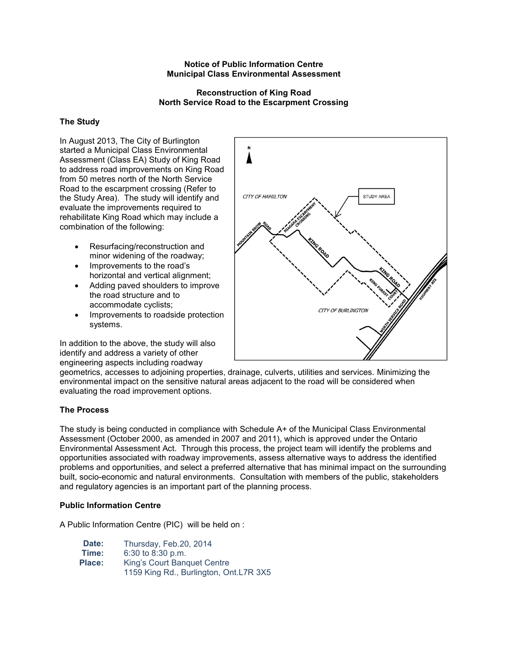### **Notice of Public Information Centre Municipal Class Environmental Assessment**

### **Reconstruction of King Road North Service Road to the Escarpment Crossing**

## **The Study**

In August 2013, The City of Burlington started a Municipal Class Environmental Assessment (Class EA) Study of King Road to address road improvements on King Road from 50 metres north of the North Service Road to the escarpment crossing (Refer to the Study Area). The study will identify and evaluate the improvements required to rehabilitate King Road which may include a combination of the following:

- Resurfacing/reconstruction and minor widening of the roadway;
- Improvements to the road's horizontal and vertical alignment;
- Adding paved shoulders to improve the road structure and to accommodate cyclists;
- Improvements to roadside protection systems.

In addition to the above, the study will also identify and address a variety of other engineering aspects including roadway



geometrics, accesses to adjoining properties, drainage, culverts, utilities and services. Minimizing the environmental impact on the sensitive natural areas adjacent to the road will be considered when evaluating the road improvement options.

# **The Process**

The study is being conducted in compliance with Schedule A+ of the Municipal Class Environmental Assessment (October 2000, as amended in 2007 and 2011), which is approved under the Ontario Environmental Assessment Act. Through this process, the project team will identify the problems and opportunities associated with roadway improvements, assess alternative ways to address the identified problems and opportunities, and select a preferred alternative that has minimal impact on the surrounding built, socio-economic and natural environments. Consultation with members of the public, stakeholders and regulatory agencies is an important part of the planning process.

## **Public Information Centre**

A Public Information Centre (PIC) will be held on :

| Date:  | Thursday, Feb.20, 2014                 |
|--------|----------------------------------------|
| Time:  | $6:30$ to $8:30$ p.m.                  |
| Place: | King's Court Banquet Centre            |
|        | 1159 King Rd., Burlington, Ont.L7R 3X5 |